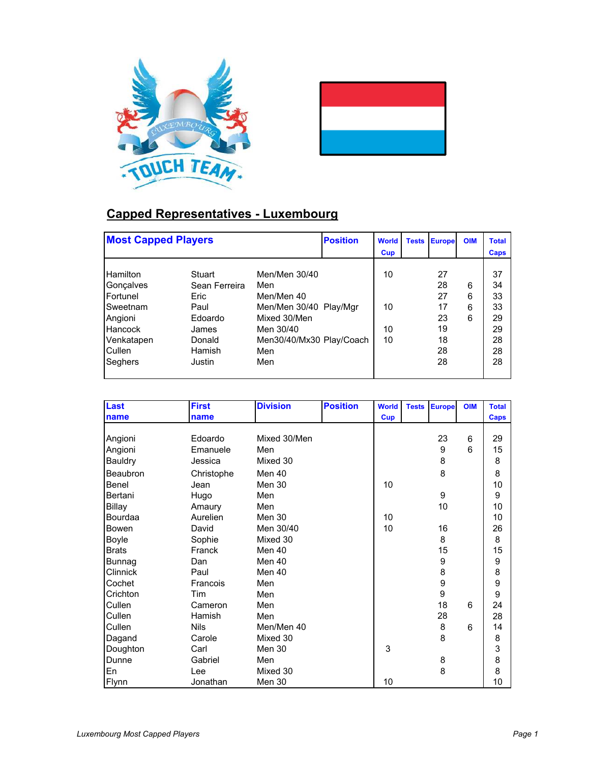



## **Capped Representatives - Luxembourg**

| <b>Most Capped Players</b>                                                                                                  |                                                                                           | <b>Position</b>                                                                                                                     | <b>World</b><br><b>Cup</b> | <b>Tests</b>         | <b>Europe</b> | <b>OIM</b>                                         | <b>Total</b><br><b>Caps</b> |                                                    |
|-----------------------------------------------------------------------------------------------------------------------------|-------------------------------------------------------------------------------------------|-------------------------------------------------------------------------------------------------------------------------------------|----------------------------|----------------------|---------------|----------------------------------------------------|-----------------------------|----------------------------------------------------|
| <b>Hamilton</b><br>Gonçalves<br>Fortunel<br>Sweetnam<br>Angioni<br><b>Hancock</b><br>Venkatapen<br>Cullen<br><b>Seghers</b> | Stuart<br>Sean Ferreira<br>Eric<br>Paul<br>Edoardo<br>James<br>Donald<br>Hamish<br>Justin | Men/Men 30/40<br>Men<br>Men/Men 40<br>Men/Men 30/40 Play/Mgr<br>Mixed 30/Men<br>Men 30/40<br>Men30/40/Mx30 Play/Coach<br>Men<br>Men |                            | 10<br>10<br>10<br>10 |               | 27<br>28<br>27<br>17<br>23<br>19<br>18<br>28<br>28 | 6<br>6<br>6<br>6            | 37<br>34<br>33<br>33<br>29<br>29<br>28<br>28<br>28 |

| Last           | <b>First</b> | <b>Division</b> | <b>Position</b> | <b>World</b> | <b>Tests</b> | <b>Europe</b> | <b>OIM</b> | <b>Total</b> |
|----------------|--------------|-----------------|-----------------|--------------|--------------|---------------|------------|--------------|
| name           | name         |                 |                 | <b>Cup</b>   |              |               |            | Caps         |
|                |              |                 |                 |              |              |               |            |              |
| Angioni        | Edoardo      | Mixed 30/Men    |                 |              |              | 23            | 6          | 29           |
| Angioni        | Emanuele     | Men             |                 |              |              | 9             | 6          | 15           |
| <b>Bauldry</b> | Jessica      | Mixed 30        |                 |              |              | 8             |            | 8            |
| Beaubron       | Christophe   | Men 40          |                 |              |              | 8             |            | 8            |
| Benel          | Jean         | Men 30          |                 | 10           |              |               |            | 10           |
| Bertani        | Hugo         | Men             |                 |              |              | 9             |            | 9            |
| Billay         | Amaury       | Men             |                 |              |              | 10            |            | 10           |
| Bourdaa        | Aurelien     | Men 30          |                 | 10           |              |               |            | 10           |
| <b>Bowen</b>   | David        | Men 30/40       |                 | 10           |              | 16            |            | 26           |
| Boyle          | Sophie       | Mixed 30        |                 |              |              | 8             |            | 8            |
| <b>Brats</b>   | Franck       | Men 40          |                 |              |              | 15            |            | 15           |
| Bunnag         | Dan          | Men 40          |                 |              |              | 9             |            | 9            |
| Clinnick       | Paul         | Men 40          |                 |              |              | 8             |            | 8            |
| Cochet         | Francois     | Men             |                 |              |              | 9             |            | 9<br>9       |
| Crichton       | Tim          | Men             |                 |              |              | 9             |            |              |
| Cullen         | Cameron      | Men             |                 |              |              | 18            | 6          | 24           |
| Cullen         | Hamish       | Men             |                 |              |              | 28            |            | 28           |
| Cullen         | <b>Nils</b>  | Men/Men 40      |                 |              |              | 8             | 6          | 14           |
| Dagand         | Carole       | Mixed 30        |                 |              |              | 8             |            | 8            |
| Doughton       | Carl         | Men 30          |                 | 3            |              |               |            | 3            |
| Dunne          | Gabriel      | Men             |                 |              |              | 8             |            | 8            |
| En             | Lee          | Mixed 30        |                 |              |              | 8             |            | 8            |
| Flynn          | Jonathan     | Men 30          |                 | 10           |              |               |            | 10           |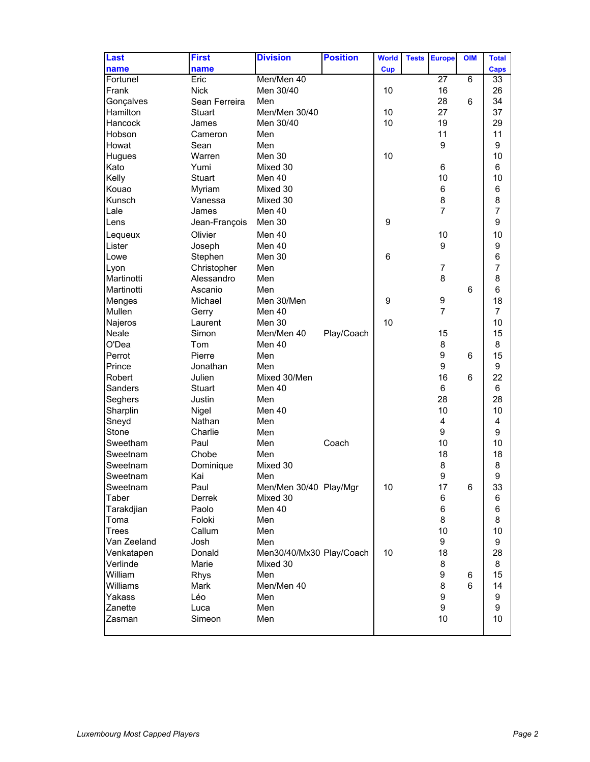| Last         | <b>First</b>  | <b>Division</b>          | <b>Position</b> | <b>World</b> | <b>Tests</b> | <b>Europe</b>  | <b>OIM</b> | <b>Total</b>   |
|--------------|---------------|--------------------------|-----------------|--------------|--------------|----------------|------------|----------------|
| name         | name          |                          |                 | <b>Cup</b>   |              |                |            | Caps           |
| Fortunel     | Eric          | Men/Men 40               |                 |              |              | 27             | 6          | 33             |
| Frank        | <b>Nick</b>   | Men 30/40                |                 | 10           |              | 16             |            | 26             |
| Gonçalves    | Sean Ferreira | Men                      |                 |              |              | 28             | 6          | 34             |
| Hamilton     | <b>Stuart</b> | Men/Men 30/40            |                 | 10           |              | 27             |            | 37             |
| Hancock      | James         | Men 30/40                |                 | 10           |              | 19             |            | 29             |
| Hobson       | Cameron       | Men                      |                 |              |              | 11             |            | 11             |
| Howat        | Sean          | Men                      |                 |              |              | 9              |            | 9              |
| Hugues       | Warren        | Men 30                   |                 | 10           |              |                |            | 10             |
| Kato         | Yumi          | Mixed 30                 |                 |              |              | 6              |            | 6              |
| Kelly        | <b>Stuart</b> | Men 40                   |                 |              |              | 10             |            | 10             |
| Kouao        | Myriam        | Mixed 30                 |                 |              |              | 6              |            | 6              |
| Kunsch       | Vanessa       | Mixed 30                 |                 |              |              | 8              |            | 8              |
| Lale         | James         | Men 40                   |                 |              |              | $\overline{7}$ |            | $\overline{7}$ |
| Lens         | Jean-François | Men 30                   |                 | 9            |              |                |            | 9              |
| Lequeux      | Olivier       | Men 40                   |                 |              |              | 10             |            | 10             |
| Lister       | Joseph        | Men 40                   |                 |              |              | 9              |            | 9              |
| Lowe         | Stephen       | Men 30                   |                 | 6            |              |                |            | 6              |
| Lyon         | Christopher   | Men                      |                 |              |              | $\overline{7}$ |            | 7              |
| Martinotti   | Alessandro    | Men                      |                 |              |              | 8              |            | 8              |
| Martinotti   | Ascanio       | Men                      |                 |              |              |                | 6          | 6              |
| Menges       | Michael       | Men 30/Men               |                 | 9            |              | 9              |            | 18             |
| Mullen       | Gerry         | Men 40                   |                 |              |              | $\overline{7}$ |            | $\overline{7}$ |
| Najeros      | Laurent       | Men 30                   |                 | 10           |              |                |            | 10             |
| Neale        | Simon         | Men/Men 40               | Play/Coach      |              |              | 15             |            | 15             |
| O'Dea        | Tom           | Men 40                   |                 |              |              | 8              |            | 8              |
| Perrot       | Pierre        | Men                      |                 |              |              | 9              | 6          | 15             |
| Prince       | Jonathan      | Men                      |                 |              |              | 9              |            | 9              |
| Robert       | Julien        | Mixed 30/Men             |                 |              |              | 16             | 6          | 22             |
| Sanders      | <b>Stuart</b> | Men 40                   |                 |              |              | 6              |            | 6              |
| Seghers      | Justin        | Men                      |                 |              |              | 28             |            | 28             |
| Sharplin     | Nigel         | Men 40                   |                 |              |              | 10             |            | 10             |
| Sneyd        | Nathan        | Men                      |                 |              |              | 4              |            | 4              |
| Stone        | Charlie       | Men                      |                 |              |              | 9              |            | 9              |
| Sweetham     | Paul          | Men                      | Coach           |              |              | 10             |            | 10             |
| Sweetnam     | Chobe         | Men                      |                 |              |              | 18             |            | 18             |
| Sweetnam     | Dominique     | Mixed 30                 |                 |              |              | 8              |            | 8              |
| Sweetnam     | Kai           | Men                      |                 |              |              | 9              |            | 9              |
| Sweetnam     | Paul          | Men/Men 30/40 Play/Mgr   |                 | 10           |              | 17             | 6          | 33             |
| Taber        | Derrek        | Mixed 30                 |                 |              |              | 6              |            | 6              |
| Tarakdjian   | Paolo         | Men 40                   |                 |              |              | 6              |            | 6              |
| Toma         | Foloki        | Men                      |                 |              |              | 8              |            | 8              |
| <b>Trees</b> | Callum        | Men                      |                 |              |              | 10             |            | 10             |
| Van Zeeland  | Josh          | Men                      |                 |              |              | 9              |            | 9              |
| Venkatapen   | Donald        | Men30/40/Mx30 Play/Coach |                 | 10           |              | 18             |            | 28             |
| Verlinde     | Marie         | Mixed 30                 |                 |              |              | 8              |            | 8              |
| William      | Rhys          | Men                      |                 |              |              | 9              | 6          | 15             |
| Williams     | Mark          | Men/Men 40               |                 |              |              | 8              | 6          | 14             |
| Yakass       | Léo           | Men                      |                 |              |              | 9              |            | 9              |
| Zanette      | Luca          | Men                      |                 |              |              | 9              |            | 9              |
| Zasman       | Simeon        | Men                      |                 |              |              | 10             |            | 10             |
|              |               |                          |                 |              |              |                |            |                |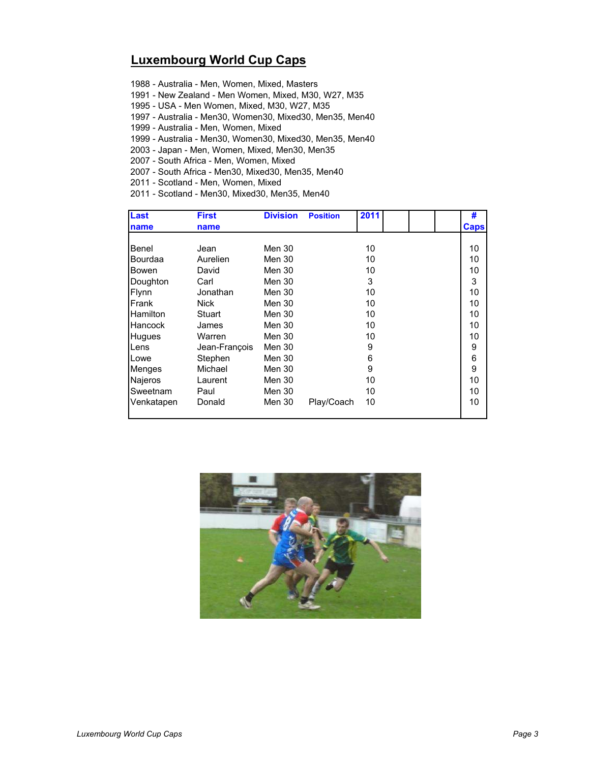## **Luxembourg World Cup Caps**

1988 - Australia - Men, Women, Mixed, Masters

1991 - New Zealand - Men Women, Mixed, M30, W27, M35

1995 - USA - Men Women, Mixed, M30, W27, M35

1997 - Australia - Men30, Women30, Mixed30, Men35, Men40

1999 - Australia - Men, Women, Mixed

1999 - Australia - Men30, Women30, Mixed30, Men35, Men40

2003 - Japan - Men, Women, Mixed, Men30, Men35

2007 - South Africa - Men, Women, Mixed

2007 - South Africa - Men30, Mixed30, Men35, Men40

2011 - Scotland - Men, Women, Mixed

2011 - Scotland - Men30, Mixed30, Men35, Men40

| <b>Last</b>    | <b>First</b>  | <b>Division</b> | <b>Position</b> | 2011 | #           |
|----------------|---------------|-----------------|-----------------|------|-------------|
| name           | name          |                 |                 |      | <b>Caps</b> |
|                |               |                 |                 |      |             |
| Benel          | Jean          | Men 30          |                 | 10   | 10          |
| <b>Bourdaa</b> | Aurelien      | Men 30          |                 | 10   | 10          |
| <b>Bowen</b>   | David         | Men 30          |                 | 10   | 10          |
| Doughton       | Carl          | Men 30          |                 | 3    | 3           |
| Flynn          | Jonathan      | Men 30          |                 | 10   | 10          |
| Frank          | Nick          | Men 30          |                 | 10   | 10          |
| Hamilton       | Stuart        | Men 30          |                 | 10   | 10          |
| Hancock        | James         | Men 30          |                 | 10   | 10          |
| Hugues         | Warren        | Men 30          |                 | 10   | 10          |
| Lens           | Jean-François | Men 30          |                 | 9    | 9           |
| Lowe           | Stephen       | Men 30          |                 | 6    | 6           |
| <b>Menges</b>  | Michael       | Men 30          |                 | 9    | 9           |
| Najeros        | Laurent       | Men 30          |                 | 10   | 10          |
| Sweetnam       | Paul          | Men 30          |                 | 10   | 10          |
| Venkatapen     | Donald        | Men 30          | Play/Coach      | 10   | 10          |

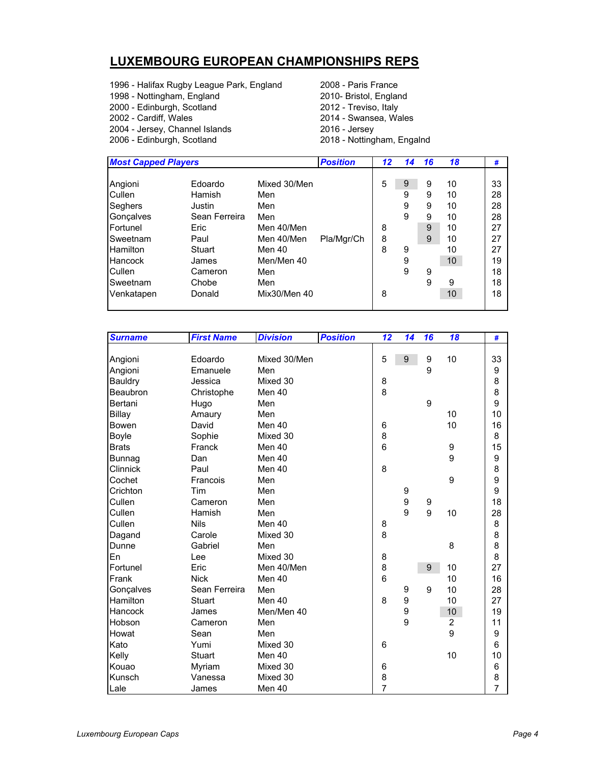## **LUXEMBOURG EUROPEAN CHAMPIONSHIPS REPS**

1996 - Halifax Rugby League Park, England 2008 - Paris France 1998 - Nottingham, England 2010- Bristol, England 2000 - Edinburgh, Scotland 2012 - Treviso, Italy 2004 - Jersey, Channel Islands 2016 - Jersey

2014 - Swansea, Wales 2018 - Nottingham, Engalnd

| <b>Most Capped Players</b> |               |              | <b>Position</b> | 12 | 14 | 16 | 18 | #  |
|----------------------------|---------------|--------------|-----------------|----|----|----|----|----|
|                            |               |              |                 |    |    |    |    |    |
| Angioni                    | Edoardo       | Mixed 30/Men |                 | 5  | 9  | 9  | 10 | 33 |
| Cullen                     | Hamish        | Men          |                 |    | 9  | 9  | 10 | 28 |
| Seghers                    | Justin        | Men          |                 |    | 9  | 9  | 10 | 28 |
| Gonçalves                  | Sean Ferreira | Men          |                 |    | 9  | 9  | 10 | 28 |
| Fortunel                   | Eric          | Men 40/Men   |                 | 8  |    | 9  | 10 | 27 |
| Sweetnam                   | Paul          | Men 40/Men   | Pla/Mgr/Ch      | 8  |    | 9  | 10 | 27 |
| Hamilton                   | <b>Stuart</b> | Men 40       |                 | 8  | 9  |    | 10 | 27 |
| Hancock                    | James         | Men/Men 40   |                 |    | 9  |    | 10 | 19 |
| Cullen                     | Cameron       | Men          |                 |    | 9  | 9  |    | 18 |
| Sweetnam                   | Chobe         | Men          |                 |    |    | 9  | 9  | 18 |
| Venkatapen                 | Donald        | Mix30/Men 40 |                 | 8  |    |    | 10 | 18 |
|                            |               |              |                 |    |    |    |    |    |

| <b>Surname</b> | <b>First Name</b> | <b>Division</b> | <b>Position</b> | $\overline{12}$ | 14 | 16 | 18                      | #              |
|----------------|-------------------|-----------------|-----------------|-----------------|----|----|-------------------------|----------------|
|                |                   |                 |                 |                 |    |    |                         |                |
| Angioni        | Edoardo           | Mixed 30/Men    |                 | 5               | 9  | 9  | 10                      | 33             |
| Angioni        | Emanuele          | Men             |                 |                 |    | 9  |                         | 9              |
| Bauldry        | Jessica           | Mixed 30        |                 | 8               |    |    |                         | 8              |
| Beaubron       | Christophe        | Men 40          |                 | 8               |    |    |                         | 8              |
| Bertani        | Hugo              | Men             |                 |                 |    | 9  |                         | 9              |
| Billay         | Amaury            | Men             |                 |                 |    |    | 10                      | 10             |
| Bowen          | David             | Men 40          |                 | 6               |    |    | 10                      | 16             |
| Boyle          | Sophie            | Mixed 30        |                 | 8               |    |    |                         | 8              |
| <b>Brats</b>   | Franck            | Men 40          |                 | 6               |    |    | 9                       | 15             |
| <b>Bunnag</b>  | Dan               | Men 40          |                 |                 |    |    | 9                       | 9              |
| Clinnick       | Paul              | Men 40          |                 | 8               |    |    |                         | 8              |
| Cochet         | Francois          | Men             |                 |                 |    |    | 9                       | 9              |
| Crichton       | Tim               | Men             |                 |                 | 9  |    |                         | 9              |
| Cullen         | Cameron           | Men             |                 |                 | 9  | 9  |                         | 18             |
| Cullen         | Hamish            | Men             |                 |                 | 9  | 9  | 10                      | 28             |
| Cullen         | <b>Nils</b>       | Men 40          |                 | 8               |    |    |                         | 8              |
| Dagand         | Carole            | Mixed 30        |                 | 8               |    |    |                         | 8              |
| Dunne          | Gabriel           | Men             |                 |                 |    |    | 8                       | 8              |
| En             | Lee               | Mixed 30        |                 | 8               |    |    |                         | 8              |
| Fortunel       | Eric              | Men 40/Men      |                 | 8               |    | 9  | 10                      | 27             |
| Frank          | <b>Nick</b>       | Men 40          |                 | 6               |    |    | 10                      | 16             |
| Gonçalves      | Sean Ferreira     | Men             |                 |                 | 9  | 9  | 10                      | 28             |
| Hamilton       | <b>Stuart</b>     | Men 40          |                 | 8               | 9  |    | 10                      | 27             |
| Hancock        | James             | Men/Men 40      |                 |                 | 9  |    | 10                      | 19             |
| Hobson         | Cameron           | Men             |                 |                 | 9  |    | $\overline{\mathbf{c}}$ | 11             |
| Howat          | Sean              | Men             |                 |                 |    |    | 9                       | 9              |
| Kato           | Yumi              | Mixed 30        |                 | 6               |    |    |                         | 6              |
| Kelly          | <b>Stuart</b>     | Men 40          |                 |                 |    |    | 10                      | 10             |
| Kouao          | Myriam            | Mixed 30        |                 | 6               |    |    |                         | 6              |
| Kunsch         | Vanessa           | Mixed 30        |                 | 8               |    |    |                         | 8              |
| Lale           | James             | Men 40          |                 | $\overline{7}$  |    |    |                         | $\overline{7}$ |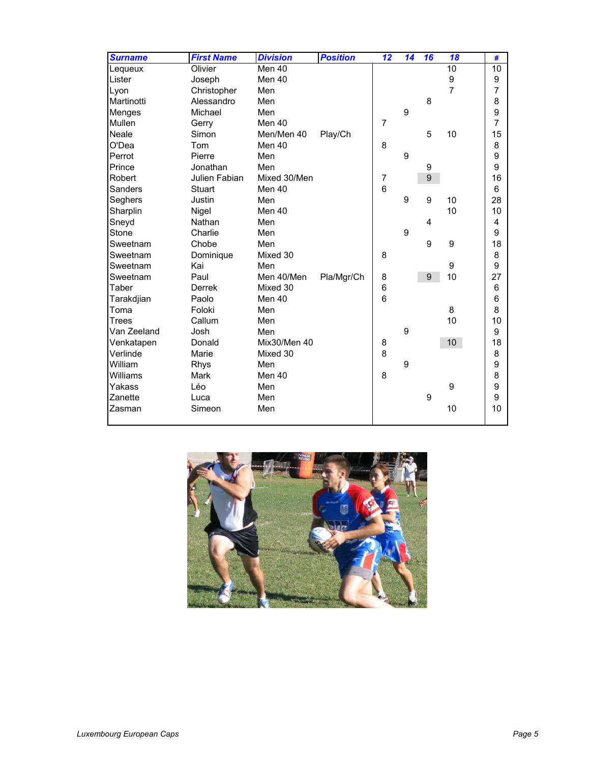| <b>Surname</b> | <b>First Name</b> | <b>Division</b> | <b>Position</b> | 12                       | 14               | 16 | 18             | #              |
|----------------|-------------------|-----------------|-----------------|--------------------------|------------------|----|----------------|----------------|
| Lequeux        | Olivier           | Men 40          |                 |                          |                  |    | 10             | 10             |
| Lister         | Joseph            | Men 40          |                 |                          |                  |    | 9              | 9              |
| Lyon           | Christopher       | Men             |                 |                          |                  |    | $\overline{7}$ | $\overline{7}$ |
| Martinotti     | Alessandro        | Men             |                 |                          |                  | 8  |                | 8              |
| Menges         | Michael           | Men             |                 |                          | 9                |    |                | 9              |
| Mullen         | Gerry             | Men 40          |                 | $\overline{7}$           |                  |    |                | 7              |
| Neale          | Simon             | Men/Men 40      | Play/Ch         |                          |                  | 5  | 10             | 15             |
| O'Dea          | Tom               | Men 40          |                 | 8                        |                  |    |                | 8              |
| Perrot         | Pierre            | Men             |                 |                          | 9                |    |                | 9              |
| Prince         | Jonathan          | Men             |                 |                          |                  | 9  |                | 9              |
| Robert         | Julien Fabian     | Mixed 30/Men    |                 | $\overline{\mathcal{I}}$ |                  | 9  |                | 16             |
| Sanders        | Stuart            | Men 40          |                 | 6                        |                  |    |                | 6              |
| Seghers        | Justin            | Men             |                 |                          | $\boldsymbol{9}$ | 9  | 10             | 28             |
| Sharplin       | Nigel             | Men 40          |                 |                          |                  |    | 10             | 10             |
| Sneyd          | Nathan            | Men             |                 |                          |                  | 4  |                | 4              |
| Stone          | Charlie           | Men             |                 |                          | $\boldsymbol{9}$ |    |                | 9              |
| Sweetnam       | Chobe             | Men             |                 |                          |                  | 9  | 9              | 18             |
| Sweetnam       | Dominique         | Mixed 30        |                 | 8                        |                  |    |                | 8              |
| Sweetnam       | Kai               | Men             |                 |                          |                  |    | 9              | 9              |
| Sweetnam       | Paul              | Men 40/Men      | Pla/Mgr/Ch      | 8                        |                  | 9  | 10             | 27             |
| Taber          | <b>Derrek</b>     | Mixed 30        |                 | 6                        |                  |    |                | 6              |
| Tarakdjian     | Paolo             | Men 40          |                 | 6                        |                  |    |                | 6              |
| Toma           | Foloki            | Men             |                 |                          |                  |    | 8              | 8              |
| Trees          | Callum            | Men             |                 |                          |                  |    | 10             | 10             |
| Van Zeeland    | Josh              | Men             |                 |                          | 9                |    |                | 9              |
| Venkatapen     | Donald            | Mix30/Men 40    |                 | 8                        |                  |    | 10             | 18             |
| Verlinde       | Marie             | Mixed 30        |                 | 8                        |                  |    |                | 8              |
| William        | Rhys              | Men             |                 |                          | 9                |    |                | 9              |
| Williams       | Mark              | Men 40          |                 | 8                        |                  |    |                | 8              |
| Yakass         | Léo               | Men             |                 |                          |                  |    | 9              | 9              |
| Zanette        | Luca              | Men             |                 |                          |                  | 9  |                | 9              |
| Zasman         | Simeon            | Men             |                 |                          |                  |    | 10             | 10             |
|                |                   |                 |                 |                          |                  |    |                |                |